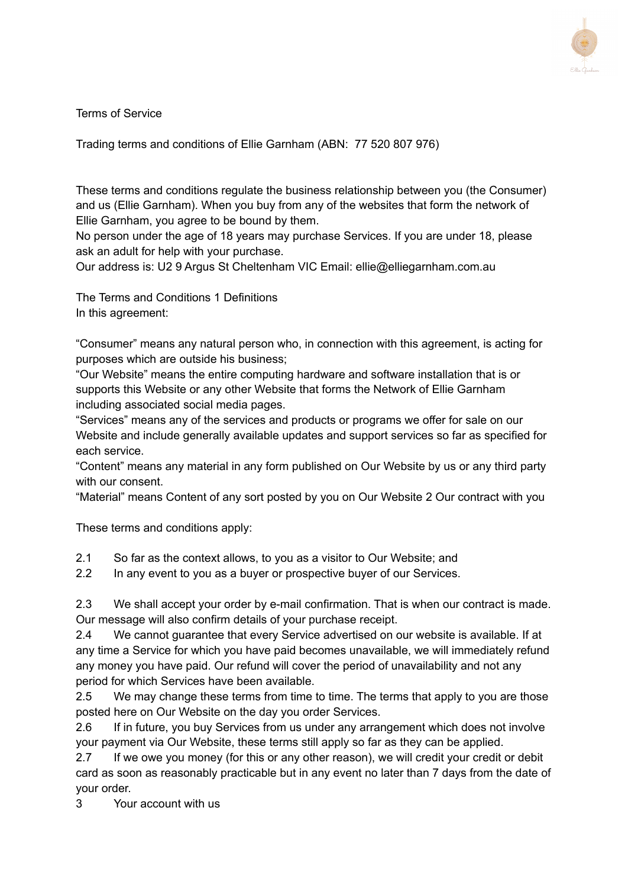

Terms of Service

Trading terms and conditions of Ellie Garnham (ABN: 77 520 807 976)

These terms and conditions regulate the business relationship between you (the Consumer) and us (Ellie Garnham). When you buy from any of the websites that form the network of Ellie Garnham, you agree to be bound by them.

No person under the age of 18 years may purchase Services. If you are under 18, please ask an adult for help with your purchase.

Our address is: U2 9 Argus St Cheltenham VIC Email: ellie@elliegarnham.com.au

The Terms and Conditions 1 Definitions In this agreement:

"Consumer" means any natural person who, in connection with this agreement, is acting for purposes which are outside his business;

"Our Website" means the entire computing hardware and software installation that is or supports this Website or any other Website that forms the Network of Ellie Garnham including associated social media pages.

"Services" means any of the services and products or programs we offer for sale on our Website and include generally available updates and support services so far as specified for each service.

"Content" means any material in any form published on Our Website by us or any third party with our consent.

"Material" means Content of any sort posted by you on Our Website 2 Our contract with you

These terms and conditions apply:

- 2.1 So far as the context allows, to you as a visitor to Our Website; and
- 2.2 In any event to you as a buyer or prospective buyer of our Services.

2.3 We shall accept your order by e-mail confirmation. That is when our contract is made. Our message will also confirm details of your purchase receipt.

2.4 We cannot guarantee that every Service advertised on our website is available. If at any time a Service for which you have paid becomes unavailable, we will immediately refund any money you have paid. Our refund will cover the period of unavailability and not any period for which Services have been available.

2.5 We may change these terms from time to time. The terms that apply to you are those posted here on Our Website on the day you order Services.

2.6 If in future, you buy Services from us under any arrangement which does not involve your payment via Our Website, these terms still apply so far as they can be applied.

2.7 If we owe you money (for this or any other reason), we will credit your credit or debit card as soon as reasonably practicable but in any event no later than 7 days from the date of your order.

3 Your account with us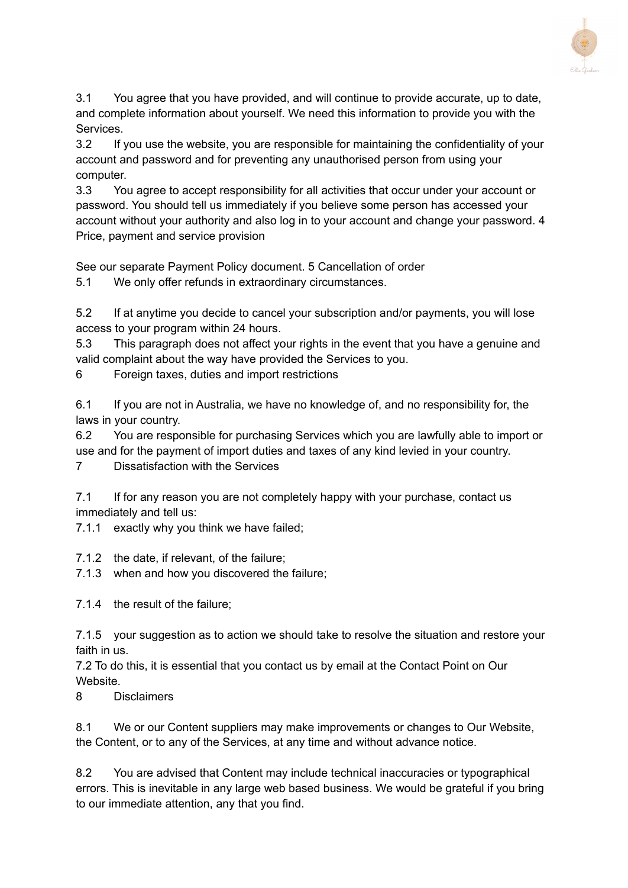

3.1 You agree that you have provided, and will continue to provide accurate, up to date, and complete information about yourself. We need this information to provide you with the Services.

3.2 If you use the website, you are responsible for maintaining the confidentiality of your account and password and for preventing any unauthorised person from using your computer.

3.3 You agree to accept responsibility for all activities that occur under your account or password. You should tell us immediately if you believe some person has accessed your account without your authority and also log in to your account and change your password. 4 Price, payment and service provision

See our separate Payment Policy document. 5 Cancellation of order

5.1 We only offer refunds in extraordinary circumstances.

5.2 If at anytime you decide to cancel your subscription and/or payments, you will lose access to your program within 24 hours.

5.3 This paragraph does not affect your rights in the event that you have a genuine and valid complaint about the way have provided the Services to you.

6 Foreign taxes, duties and import restrictions

6.1 If you are not in Australia, we have no knowledge of, and no responsibility for, the laws in your country.

6.2 You are responsible for purchasing Services which you are lawfully able to import or use and for the payment of import duties and taxes of any kind levied in your country.

7 Dissatisfaction with the Services

7.1 If for any reason you are not completely happy with your purchase, contact us immediately and tell us:

7.1.1 exactly why you think we have failed;

7.1.2 the date, if relevant, of the failure;

7.1.3 when and how you discovered the failure;

7.1.4 the result of the failure;

7.1.5 your suggestion as to action we should take to resolve the situation and restore your faith in us.

7.2 To do this, it is essential that you contact us by email at the Contact Point on Our Website.

8 Disclaimers

8.1 We or our Content suppliers may make improvements or changes to Our Website, the Content, or to any of the Services, at any time and without advance notice.

8.2 You are advised that Content may include technical inaccuracies or typographical errors. This is inevitable in any large web based business. We would be grateful if you bring to our immediate attention, any that you find.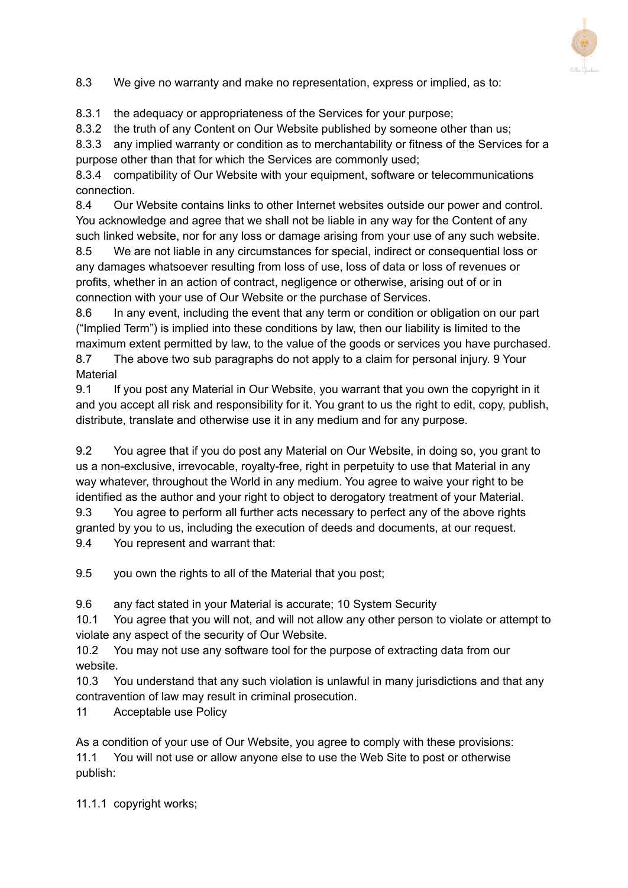

8.3 We give no warranty and make no representation, express or implied, as to:

8.3.1 the adequacy or appropriateness of the Services for your purpose;

8.3.2 the truth of any Content on Our Website published by someone other than us;

8.3.3 any implied warranty or condition as to merchantability or fitness of the Services for a purpose other than that for which the Services are commonly used;

8.3.4 compatibility of Our Website with your equipment, software or telecommunications connection.

8.4 Our Website contains links to other Internet websites outside our power and control. You acknowledge and agree that we shall not be liable in any way for the Content of any such linked website, nor for any loss or damage arising from your use of any such website.

8.5 We are not liable in any circumstances for special, indirect or consequential loss or any damages whatsoever resulting from loss of use, loss of data or loss of revenues or profits, whether in an action of contract, negligence or otherwise, arising out of or in connection with your use of Our Website or the purchase of Services.

8.6 In any event, including the event that any term or condition or obligation on our part ("Implied Term") is implied into these conditions by law, then our liability is limited to the maximum extent permitted by law, to the value of the goods or services you have purchased.

8.7 The above two sub paragraphs do not apply to a claim for personal injury. 9 Your **Material** 

9.1 If you post any Material in Our Website, you warrant that you own the copyright in it and you accept all risk and responsibility for it. You grant to us the right to edit, copy, publish, distribute, translate and otherwise use it in any medium and for any purpose.

9.2 You agree that if you do post any Material on Our Website, in doing so, you grant to us a non-exclusive, irrevocable, royalty-free, right in perpetuity to use that Material in any way whatever, throughout the World in any medium. You agree to waive your right to be identified as the author and your right to object to derogatory treatment of your Material.

9.3 You agree to perform all further acts necessary to perfect any of the above rights granted by you to us, including the execution of deeds and documents, at our request. 9.4 You represent and warrant that:

9.5 you own the rights to all of the Material that you post;

9.6 any fact stated in your Material is accurate; 10 System Security

10.1 You agree that you will not, and will not allow any other person to violate or attempt to violate any aspect of the security of Our Website.

10.2 You may not use any software tool for the purpose of extracting data from our website.

10.3 You understand that any such violation is unlawful in many jurisdictions and that any contravention of law may result in criminal prosecution.

11 Acceptable use Policy

As a condition of your use of Our Website, you agree to comply with these provisions: 11.1 You will not use or allow anyone else to use the Web Site to post or otherwise publish:

11.1.1 copyright works;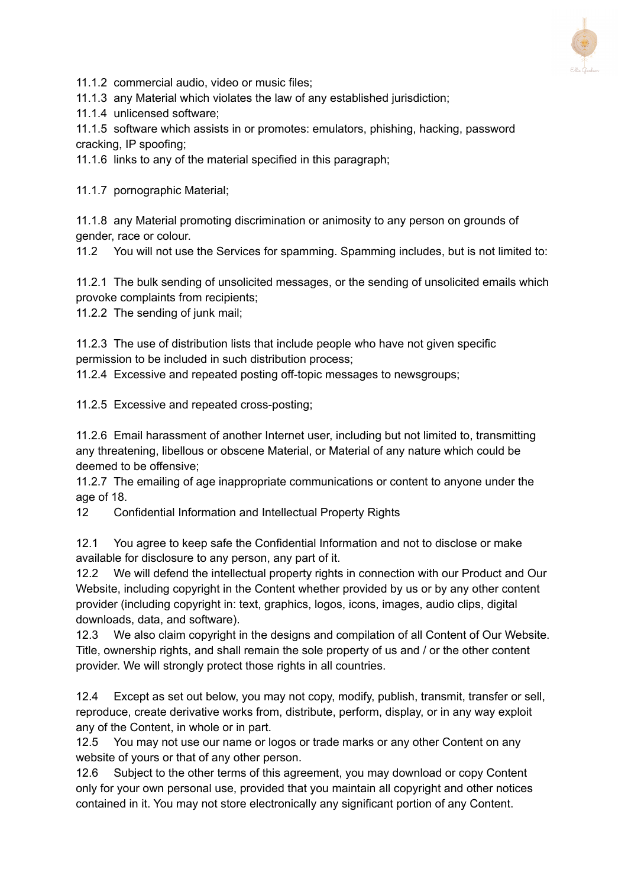

11.1.2 commercial audio, video or music files;

11.1.3 any Material which violates the law of any established jurisdiction;

11.1.4 unlicensed software;

11.1.5 software which assists in or promotes: emulators, phishing, hacking, password cracking, IP spoofing;

11.1.6 links to any of the material specified in this paragraph;

11.1.7 pornographic Material;

11.1.8 any Material promoting discrimination or animosity to any person on grounds of gender, race or colour.

11.2 You will not use the Services for spamming. Spamming includes, but is not limited to:

11.2.1 The bulk sending of unsolicited messages, or the sending of unsolicited emails which provoke complaints from recipients;

11.2.2 The sending of junk mail;

11.2.3 The use of distribution lists that include people who have not given specific permission to be included in such distribution process;

11.2.4 Excessive and repeated posting off-topic messages to newsgroups;

11.2.5 Excessive and repeated cross-posting;

11.2.6 Email harassment of another Internet user, including but not limited to, transmitting any threatening, libellous or obscene Material, or Material of any nature which could be deemed to be offensive;

11.2.7 The emailing of age inappropriate communications or content to anyone under the age of 18.

12 Confidential Information and Intellectual Property Rights

12.1 You agree to keep safe the Confidential Information and not to disclose or make available for disclosure to any person, any part of it.

12.2 We will defend the intellectual property rights in connection with our Product and Our Website, including copyright in the Content whether provided by us or by any other content provider (including copyright in: text, graphics, logos, icons, images, audio clips, digital downloads, data, and software).

12.3 We also claim copyright in the designs and compilation of all Content of Our Website. Title, ownership rights, and shall remain the sole property of us and / or the other content provider. We will strongly protect those rights in all countries.

12.4 Except as set out below, you may not copy, modify, publish, transmit, transfer or sell, reproduce, create derivative works from, distribute, perform, display, or in any way exploit any of the Content, in whole or in part.

12.5 You may not use our name or logos or trade marks or any other Content on any website of yours or that of any other person.

12.6 Subject to the other terms of this agreement, you may download or copy Content only for your own personal use, provided that you maintain all copyright and other notices contained in it. You may not store electronically any significant portion of any Content.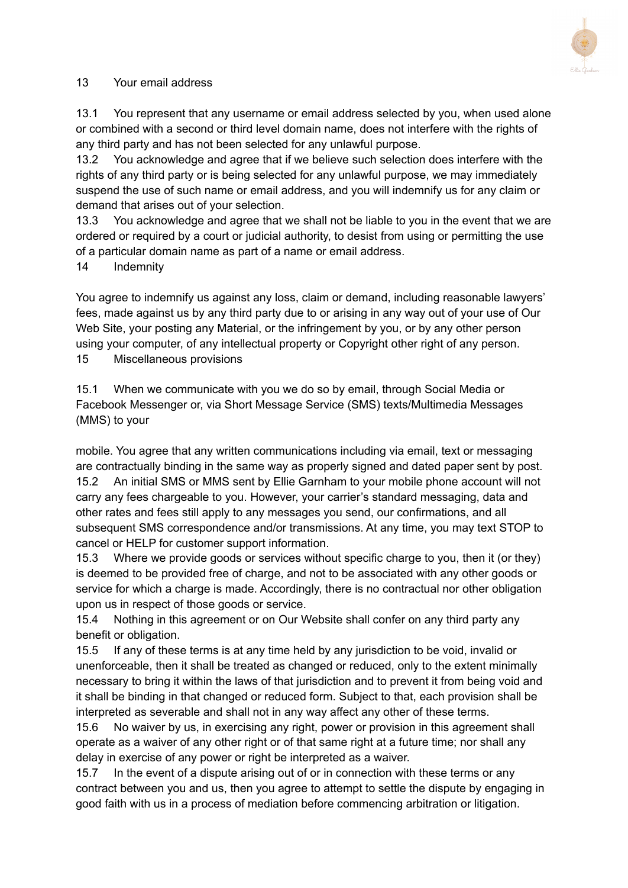

## 13 Your email address

13.1 You represent that any username or email address selected by you, when used alone or combined with a second or third level domain name, does not interfere with the rights of any third party and has not been selected for any unlawful purpose.

13.2 You acknowledge and agree that if we believe such selection does interfere with the rights of any third party or is being selected for any unlawful purpose, we may immediately suspend the use of such name or email address, and you will indemnify us for any claim or demand that arises out of your selection.

13.3 You acknowledge and agree that we shall not be liable to you in the event that we are ordered or required by a court or judicial authority, to desist from using or permitting the use of a particular domain name as part of a name or email address.

## 14 Indemnity

You agree to indemnify us against any loss, claim or demand, including reasonable lawyers' fees, made against us by any third party due to or arising in any way out of your use of Our Web Site, your posting any Material, or the infringement by you, or by any other person using your computer, of any intellectual property or Copyright other right of any person.

15 Miscellaneous provisions

15.1 When we communicate with you we do so by email, through Social Media or Facebook Messenger or, via Short Message Service (SMS) texts/Multimedia Messages (MMS) to your

mobile. You agree that any written communications including via email, text or messaging are contractually binding in the same way as properly signed and dated paper sent by post. 15.2 An initial SMS or MMS sent by Ellie Garnham to your mobile phone account will not carry any fees chargeable to you. However, your carrier's standard messaging, data and other rates and fees still apply to any messages you send, our confirmations, and all subsequent SMS correspondence and/or transmissions. At any time, you may text STOP to cancel or HELP for customer support information.

15.3 Where we provide goods or services without specific charge to you, then it (or they) is deemed to be provided free of charge, and not to be associated with any other goods or service for which a charge is made. Accordingly, there is no contractual nor other obligation upon us in respect of those goods or service.

15.4 Nothing in this agreement or on Our Website shall confer on any third party any benefit or obligation.

15.5 If any of these terms is at any time held by any jurisdiction to be void, invalid or unenforceable, then it shall be treated as changed or reduced, only to the extent minimally necessary to bring it within the laws of that jurisdiction and to prevent it from being void and it shall be binding in that changed or reduced form. Subject to that, each provision shall be interpreted as severable and shall not in any way affect any other of these terms.

15.6 No waiver by us, in exercising any right, power or provision in this agreement shall operate as a waiver of any other right or of that same right at a future time; nor shall any delay in exercise of any power or right be interpreted as a waiver.

15.7 In the event of a dispute arising out of or in connection with these terms or any contract between you and us, then you agree to attempt to settle the dispute by engaging in good faith with us in a process of mediation before commencing arbitration or litigation.